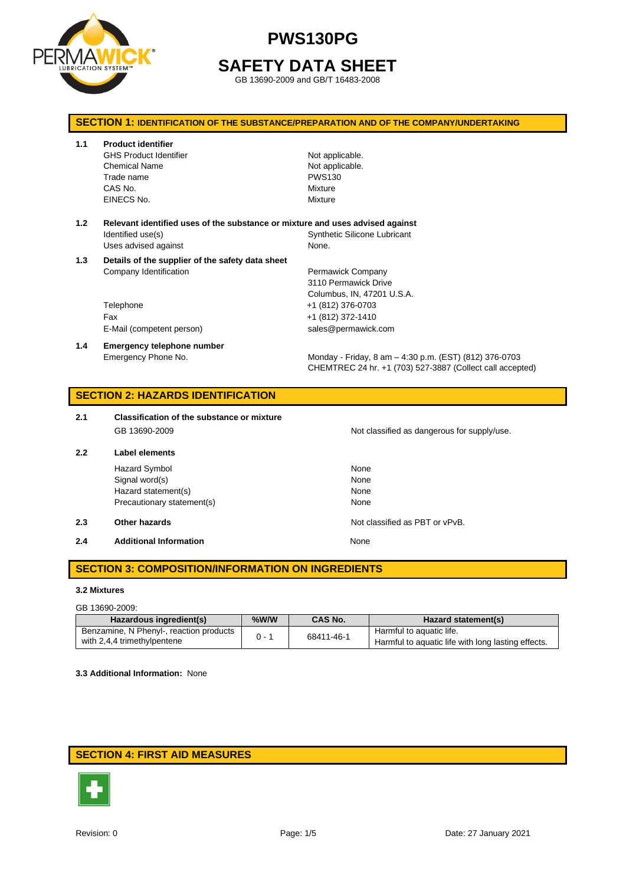

## **SAFETY DATA SHEET**

GB 13690-2009 and GB/T 16483-2008

### **SECTION 1: IDENTIFICATION OF THE SUBSTANCE/PREPARATION AND OF THE COMPANY/UNDERTAKING**

**1.1 Product identifier**

GHS Product Identifier Not applicable. Chemical Name **Not applicable**. Trade name PWS130 CAS No. **Mixture** EINECS No. 2008 2009 2012 12:00:00 Mixture

- **1.2 Relevant identified uses of the substance or mixture and uses advised against** Identified use(s) The Contract of Synthetic Silicone Lubricant Uses advised against None.
- **1.3 Details of the supplier of the safety data sheet** Company Identification **Permawick Company** 
	- Telephone +1 (812) 376-0703 Fax +1 (812) 372-1410 E-Mail (competent person) sales@permawick.com
- **1.4 Emergency telephone number**

3110 Permawick Drive Columbus, IN, 47201 U.S.A.

Emergency Phone No. Monday - Friday, 8 am – 4:30 p.m. (EST) (812) 376-0703 CHEMTREC 24 hr. +1 (703) 527-3887 (Collect call accepted)

### **SECTION 2: HAZARDS IDENTIFICATION**

- **2.1 Classification of the substance or mixture** GB 13690-2009 CB 13690-2009
- **2.2 Label elements**

Hazard Symbol None Signal word(s) None Hazard statement(s) None Precautionary statement(s) None

#### **2.3 Other hazards Details According to the COVID-100 COVID-100 Not classified as PBT or vPvB.**

**2.4 Additional Information None** 

**SECTION 3: COMPOSITION/INFORMATION ON INGREDIENTS**

#### **3.2 Mixtures**

#### GB 13690-2009:

| Hazardous ingredient(s)                 | $%$ W/W | <b>CAS No.</b> | Hazard statement(s)                                |
|-----------------------------------------|---------|----------------|----------------------------------------------------|
| Benzamine, N Phenyl-, reaction products | $0 - 1$ | 68411-46-1     | Harmful to aquatic life.                           |
| with 2,4,4 trimethylpentene             |         |                | Harmful to aquatic life with long lasting effects. |

**3.3 Additional Information:** None

## **SECTION 4: FIRST AID MEASURES**

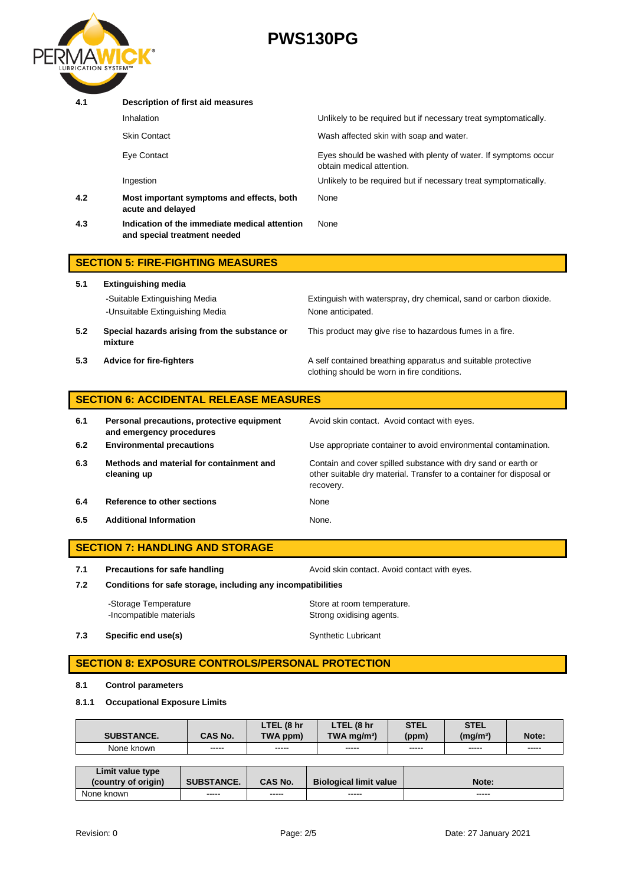

| 4.1 | Description of first aid measures                                             |                                                                                            |
|-----|-------------------------------------------------------------------------------|--------------------------------------------------------------------------------------------|
|     | Inhalation                                                                    | Unlikely to be required but if necessary treat symptomatically.                            |
|     | <b>Skin Contact</b>                                                           | Wash affected skin with soap and water.                                                    |
|     | Eye Contact                                                                   | Eyes should be washed with plenty of water. If symptoms occur<br>obtain medical attention. |
|     | Ingestion                                                                     | Unlikely to be required but if necessary treat symptomatically.                            |
| 4.2 | Most important symptoms and effects, both<br>acute and delayed                | None                                                                                       |
| 4.3 | Indication of the immediate medical attention<br>and special treatment needed | None                                                                                       |
|     | <b>SECTION 5: FIRE-FIGHTING MEASURES</b>                                      |                                                                                            |

| 5.1 | <b>Extinguishing media</b>                               |                                                                                                             |  |  |  |  |
|-----|----------------------------------------------------------|-------------------------------------------------------------------------------------------------------------|--|--|--|--|
|     | -Suitable Extinguishing Media                            | Extinguish with waterspray, dry chemical, sand or carbon dioxide.                                           |  |  |  |  |
|     | -Unsuitable Extinguishing Media                          | None anticipated.                                                                                           |  |  |  |  |
| 5.2 | Special hazards arising from the substance or<br>mixture | This product may give rise to hazardous fumes in a fire.                                                    |  |  |  |  |
| 5.3 | <b>Advice for fire-fighters</b>                          | A self contained breathing apparatus and suitable protective<br>clothing should be worn in fire conditions. |  |  |  |  |

| <b>SECTION 6: ACCIDENTAL RELEASE MEASURES</b> |                                                                        |                                                                                                                                                    |
|-----------------------------------------------|------------------------------------------------------------------------|----------------------------------------------------------------------------------------------------------------------------------------------------|
| 6.1                                           | Personal precautions, protective equipment<br>and emergency procedures | Avoid skin contact. Avoid contact with eyes.                                                                                                       |
| 6.2                                           | <b>Environmental precautions</b>                                       | Use appropriate container to avoid environmental contamination.                                                                                    |
| 6.3                                           | Methods and material for containment and<br>cleaning up                | Contain and cover spilled substance with dry sand or earth or<br>other suitable dry material. Transfer to a container for disposal or<br>recovery. |
| 6.4                                           | Reference to other sections                                            | None                                                                                                                                               |
| 6.5                                           | <b>Additional Information</b>                                          | None.                                                                                                                                              |

# **SECTION 7: HANDLING AND STORAGE 7.1 Precautions for safe handling Avoid skin contact. Avoid contact with eyes. 7.2 Conditions for safe storage, including any incompatibilities**

-Storage Temperature **Store at room temperature.** -Incompatible materials **Strong oxidising agents**.

**7.3 Specific end use(s)** Synthetic Lubricant

## **SECTION 8: EXPOSURE CONTROLS/PERSONAL PROTECTION**

### **8.1 Control parameters**

#### **8.1.1 Occupational Exposure Limits**

|                   |         | . (8 hr<br>LTEL | LTEL<br>. (8 hr           | <b>STEL</b> | <b>STEL</b>          |       |
|-------------------|---------|-----------------|---------------------------|-------------|----------------------|-------|
| <b>SUBSTANCE.</b> | CAS No. | TWA.<br>. ppm)  | $TWA$ ma/m <sup>3</sup> ) | (ppm)       | (mg/m <sup>3</sup> ) | Note: |
| None<br>known     | -----   | -----           | -----                     | -----       | -----                | ----- |

| Limit value type<br>(country of origin) | <b>SUBSTANCE.</b> | <b>CAS No.</b> | <b>Biological limit value</b> | Note: |
|-----------------------------------------|-------------------|----------------|-------------------------------|-------|
| None known                              | -----             | -----          | -----                         | ----- |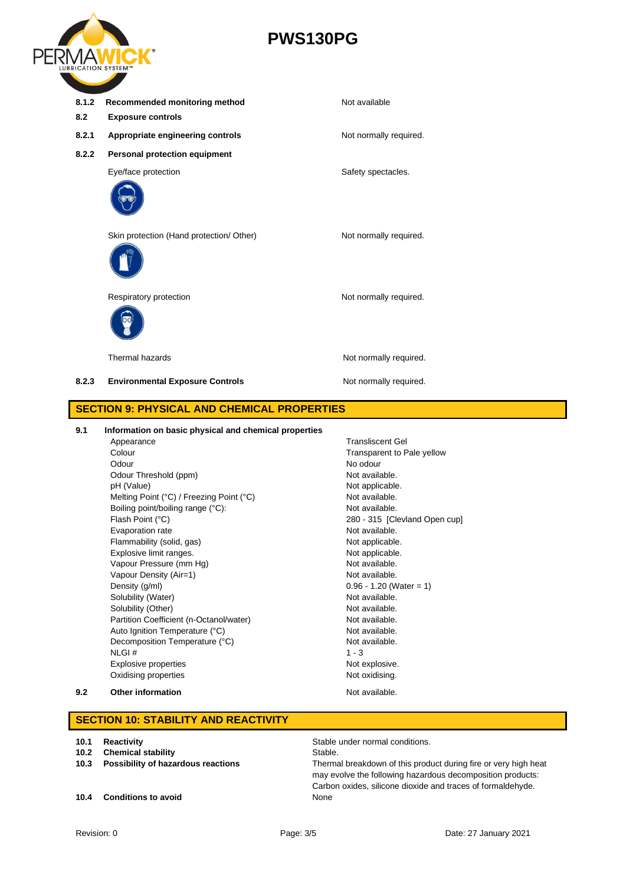

**8.1.2** Recommended monitoring method Not available **8.2 Exposure controls 8.2.1 Appropriate engineering controls** Not normally required. **8.2.2 Personal protection equipment** Eye/face protection extensive spectacles. Skin protection (Hand protection/ Other) Not normally required. Respiratory protection Not normally required. Thermal hazards **Not no analy required.** Not normally required. 8.2.3 **Environmental Exposure Controls** Mot normally required. **SECTION 9: PHYSICAL AND CHEMICAL PROPERTIES**

#### **9.1 Information on basic physical and chemical properties**

Appearance Transliscent Gel Colour Colour Colour Colour Colour Colour Colour Colour Colour Colour Colour Colour Colour Colour Colour Colou Odour No odour Odour Threshold (ppm) Not available. pH (Value) Not applicable. Melting Point (°C) / Freezing Point (°C) Not available. Boiling point/boiling range (°C): Not available. Flash Point (°C) 280 - 315 [Clevland Open cup] Evaporation rate **Not available**. Flammability (solid, gas) Not applicable. Explosive limit ranges. The state of the state of the Not applicable. Vapour Pressure (mm Hg) Not available. Vapour Density (Air=1) Not available. Density  $(g/ml)$  0.96 - 1.20 (Water = 1) Solubility (Water) Not available. Solubility (Other) Not available. Partition Coefficient (n-Octanol/water) Not available. Auto Ignition Temperature (°C) Not available. Decomposition Temperature (°C) Not available.  $NLGI \# 1 - 3$ Explosive properties Not explosive. Oxidising properties Not oxidising. **9.2 Other information Not available. Other information** 

### **SECTION 10: STABILITY AND REACTIVITY**

- **10.2 Chemical stability** Stable.
- 

**10.4 Conditions to avoid None** 

**10.1 Reactivity 10.1 Reactivity 10.1 Reactivity 10.1 Reactivity 10.1 Stable under normal conditions.** 

**10.3 Possibility of hazardous reactions** Thermal breakdown of this product during fire or very high heat may evolve the following hazardous decomposition products: Carbon oxides, silicone dioxide and traces of formaldehyde.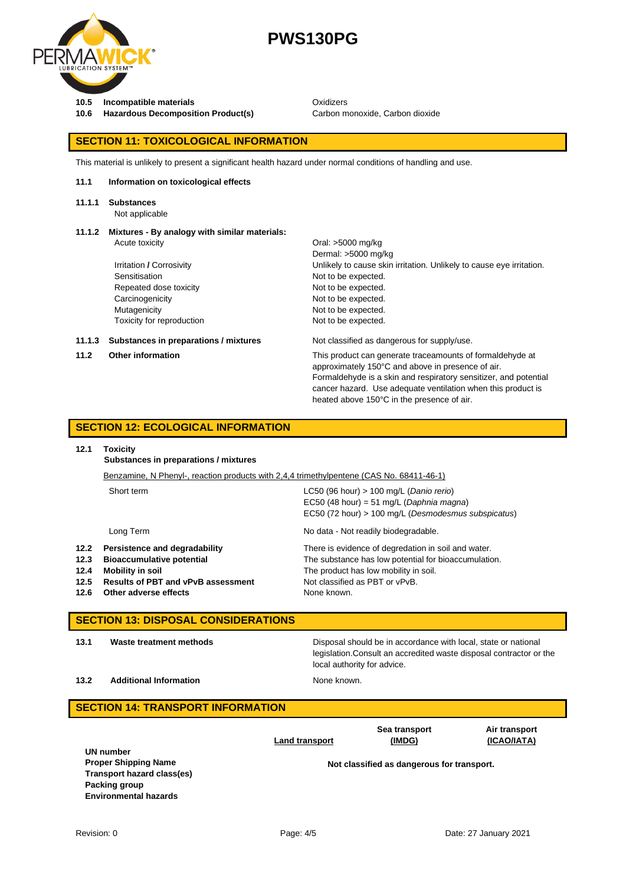

**10.5 Incompatible materials** Oxidizers

10.6 **Hazardous Decomposition Product(s)** Carbon monoxide, Carbon dioxide

heated above 150°C in the presence of air.

#### **SECTION 11: TOXICOLOGICAL INFORMATION**

This material is unlikely to present a significant health hazard under normal conditions of handling and use.

#### **11.1 Information on toxicological effects**

#### **11.1.1 Substances**

Not applicable

## **11.1.2 Mixtures - By analogy with similar materials:**

|        | Acute toxicity                        | Oral: >5000 mg/kg                                                                                                                                                                  |
|--------|---------------------------------------|------------------------------------------------------------------------------------------------------------------------------------------------------------------------------------|
|        |                                       | Dermal: >5000 mg/kg                                                                                                                                                                |
|        | Irritation / Corrosivity              | Unlikely to cause skin irritation. Unlikely to cause eye irritation.                                                                                                               |
|        | Sensitisation                         | Not to be expected.                                                                                                                                                                |
|        | Repeated dose toxicity                | Not to be expected.                                                                                                                                                                |
|        | Carcinogenicity                       | Not to be expected.                                                                                                                                                                |
|        | Mutagenicity                          | Not to be expected.                                                                                                                                                                |
|        | Toxicity for reproduction             | Not to be expected.                                                                                                                                                                |
| 11.1.3 | Substances in preparations / mixtures | Not classified as dangerous for supply/use.                                                                                                                                        |
| 11.2   | <b>Other information</b>              | This product can generate traceamounts of formaldehyde at<br>approximately 150°C and above in presence of air.<br>Formaldehyde is a skin and respiratory sensitizer, and potential |
|        |                                       | cancer hazard. Use adequate ventilation when this product is                                                                                                                       |

### **SECTION 12: ECOLOGICAL INFORMATION**

#### **12.1 Toxicity**

**Substances in preparations / mixtures**

|      | Benzamine, N Phenyl-, reaction products with 2,4,4 trimethylpentene (CAS No. 68411-46-1) |                                                      |  |
|------|------------------------------------------------------------------------------------------|------------------------------------------------------|--|
|      | Short term                                                                               | $LC50$ (96 hour) > 100 mg/L (Danio rerio)            |  |
|      |                                                                                          | EC50 (48 hour) = 51 mg/L (Daphnia magna)             |  |
|      |                                                                                          | EC50 (72 hour) > 100 mg/L (Desmodesmus subspicatus)  |  |
|      | Long Term                                                                                | No data - Not readily biodegradable.                 |  |
| 12.2 | Persistence and degradability                                                            | There is evidence of degredation in soil and water.  |  |
| 12.3 | <b>Bioaccumulative potential</b>                                                         | The substance has low potential for bioaccumulation. |  |
| 12.4 | Mobility in soil                                                                         | The product has low mobility in soil.                |  |
| 12.5 | <b>Results of PBT and vPvB assessment</b>                                                | Not classified as PBT or vPvB.                       |  |
| 12.6 | Other adverse effects                                                                    | None known.                                          |  |

#### **SECTION 13: DISPOSAL CONSIDERATIONS**

**13.1 Waste treatment methods** Disposal should be in accordance with local, state or national legislation.Consult an accredited waste disposal contractor or the local authority for advice.

**13.2 Additional Information None known.** 

#### **SECTION 14: TRANSPORT INFORMATION Land transport Sea transport (IMDG) Air transport (ICAO/IATA) UN number Proper Shipping Name Not classified as dangerous for transport. Transport hazard class(es) Packing group Environmental hazards**